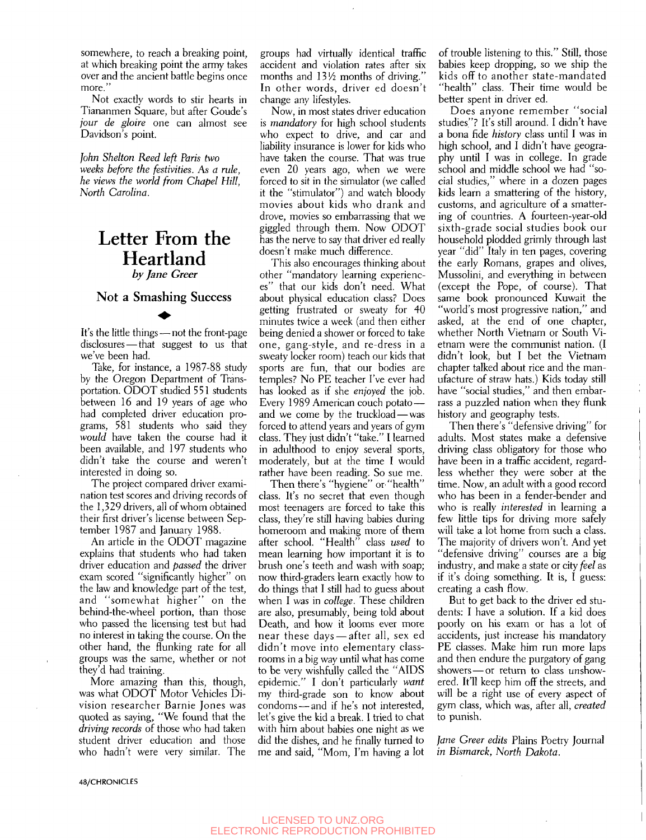somewhere, to reach a breaking point, at which breaking point the army takes over and the ancient battle begins once more."

Not exactly words to stir hearts in Tiananmen Square, but after Goude's *jour de gloire* one can almost see Davidson's point.

*John Shelton Reed left Paris two weeks before the festivities.* As *a rule, he views the world from Chapel Hill, North Carolina.* 

## Letter From the **Heartland**<br>by Jane Greer

## $\mathbb{R}^3$  Successive Successive Successive Successive Successive Successive Successive Successive Successive Successive Successive Successive Successive Successive Successive Successive Successive Successive Successive S

It's the little things — not the front-page disclosures — that suggest to us that we've been had.

Take, for instance, a 1987-88 study by the Oregon Department of Transportation. ODOT studied 551 students between 16 and 19 years of age who had completed driver education programs, 581 students who said they *would* have taken the course had it been available, and 197 students who didn't take the course and weren't interested in doing so.

The project compared driver examination test scores and driving records of the 1,329 drivers, all of whom obtained their first driver's license between September 1987 and January 1988.

An article in the ODOT magazine explains that students who had taken driver education and *passed* the driver exam scored "significantly higher" on the law and knowledge part of the test, and "somewhat higher" on the behind-the-wheel portion, than those who passed the licensing test but had no interest in taking the course. On the other hand, the flunking rate for all groups was the same, whether or not they'd had training.

More amazing than this, though, was what ODOT Motor Vehicles Division researcher Barnie Jones was quoted as saying, "We found that the *driving records* of those who had taken student driver education and those who hadn't were very similar. The

groups had virtually identical traffic accident and violation rates after six months and 13<sup>1</sup>/<sub>2</sub> months of driving." In other words, driver ed doesn't change any lifestyles.

Now, in most states driver education is *mandatory* for high school students who expect to drive, and car and liability insurance is lower for kids who have taken the course. That was true even 20 years ago, when we were forced to sit in the simulator (we called it the "stimulator") and watch bloody movies about kids who drank and drove, movies so embarrassing that we giggled through them. Now ODOT has the nerve to say that driver ed really doesn't make much difference.

This also encourages thinking about other "mandatory learning experiences" that our kids don't need. What about physical education class? Does getting frustrated or sweaty for 40 minutes twice a week (and then either being denied a shower or forced to take one, gang-style, and re-dress in a sweaty locker room) teach our kids that sports are fun, that our bodies are temples? No PE teacher I've ever had has looked as if she *enjoyed* the job. Every 1989 American couch potato and we come by the truckload — was forced to attend years and years of gym class. They just didn't "take." I learned in adulthood to enjoy several sports, moderately, but at the time I would rather have been reading. So sue me.

Then there's "hygiene" or "health" class. It's no secret that even though most teenagers are forced to take this class, they're still having babies during homeroom and making more of them after school. "Health" class *used* to mean learning how important it is to brush one's teeth and wash with soap; now third-graders learn exactly how to do things that I still had to guess about when I was in *college.* These children are also, presumably, being told about Death, and how it looms ever more near these days — after all, sex ed didn't move into elementary classrooms in a big way until what has come to be very wishfully called the "AIDS epidemic." I don't particularly *want*  my third-grade son to know about condoms — and if he's not interested, let's give the kid a break. I tried to chat with him about babies one night as we did the dishes, and he finally turned to me and said, "Mom, I'm having a lot

of trouble listening to this." Still, those babies keep dropping, so we ship the kids off to another state-mandated "health" class. Their time would be better spent in driver ed.

Does anyone remember "social studies"? It's still around. I didn't have a bona fide *history* class until I was in high school, and I didn't have geography until I was in college. In grade school and middle school we had "social studies," where in a dozen pages kids learn a smattering of the history, customs, and agriculture of a smattering of countries. A fourteen-year-old sixth-grade social studies book our household plodded grimly through last year "did" Italy in ten pages, covering the early Romans, grapes and olives, Mussolini, and everything in between (except the Pope, of course). That same book pronounced Kuwait the "world's most progressive nation," and asked, at the end of one chapter, whether North Vietnam or South Vietnam were the communist nation. (I didn't look, but I bet the Vietnam chapter talked about rice and the manufacture of straw hats.) Kids today still have "social studies," and then embarrass a puzzled nation when they flunk history and geography tests.

Then there's "defensive driving" for adults. Most states make a defensive driving class obligatory for those who have been in a traffic accident, regardless whether they were sober at the time. Now, an adult with a good record who has been in a fender-bender and who is really *interested* in learning a few little tips for driving more safely will take a lot home from such a class. The majority of drivers won't. And yet "defensive driving" courses are a big industry, and make a state or city *feel* as if it's doing something. It is, I guess: creating a cash flow.

But to get back to the driver ed students: I have a solution. If a kid does poorly on his exam or has a lot of accidents, just increase his mandatory PE classes. Make him run more laps and then endure the purgatory of gang showers — or return to class unshowered. **It'll** keep him off the streets, and will be a right use of every aspect of gym class, which was, after all, *created*  to punish.

*Jane Greer edits* Plains Poetry Journal *in Bismarck, North Dakota.* 

**48/CHRONICLES**